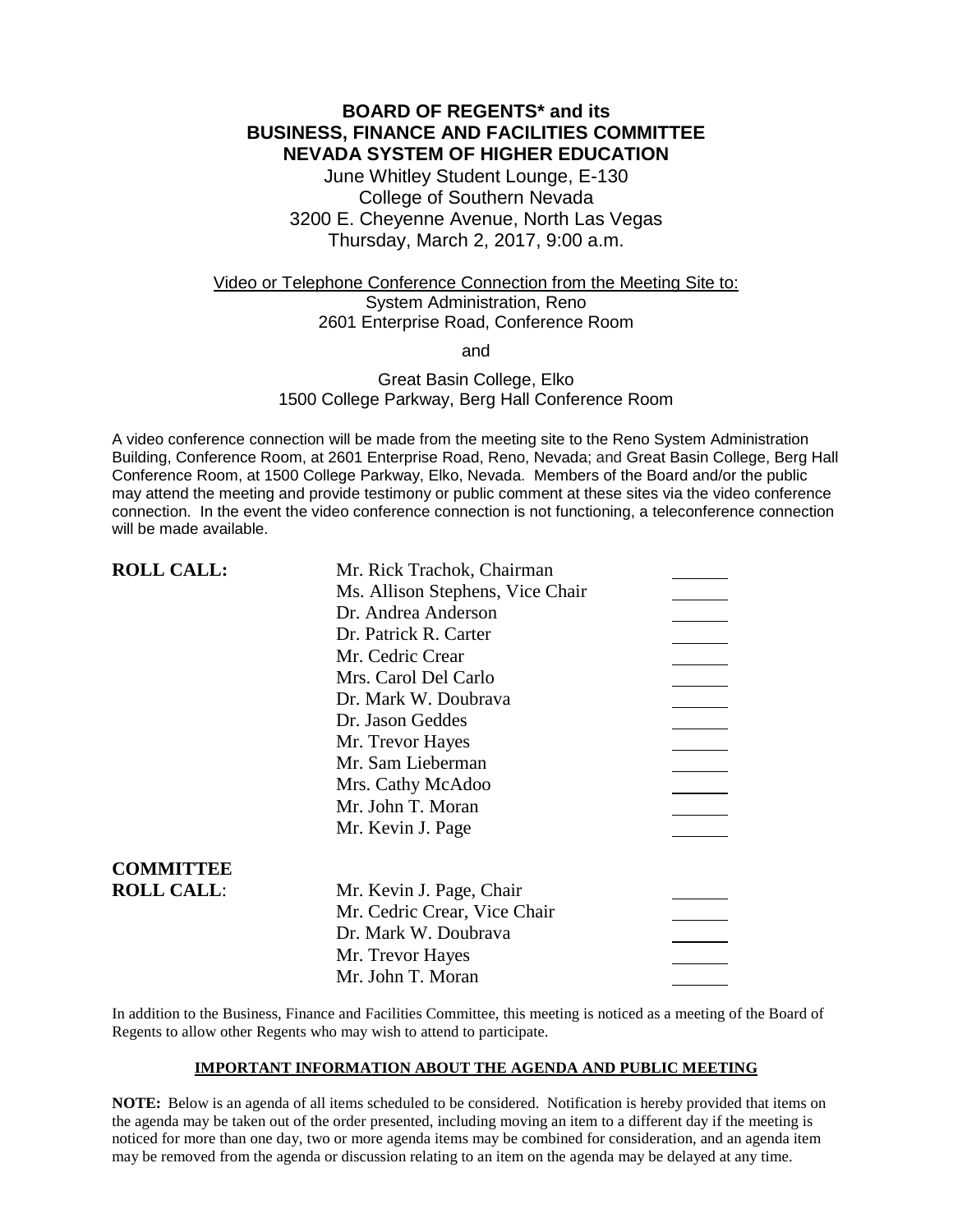# **BOARD OF REGENTS\* and its BUSINESS, FINANCE AND FACILITIES COMMITTEE NEVADA SYSTEM OF HIGHER EDUCATION**

June Whitley Student Lounge, E-130 College of Southern Nevada 3200 E. Cheyenne Avenue, North Las Vegas Thursday, March 2, 2017, 9:00 a.m.

## Video or Telephone Conference Connection from the Meeting Site to: System Administration, Reno 2601 Enterprise Road, Conference Room

and

### Great Basin College, Elko 1500 College Parkway, Berg Hall Conference Room

A video conference connection will be made from the meeting site to the Reno System Administration Building, Conference Room, at 2601 Enterprise Road, Reno, Nevada; and Great Basin College, Berg Hall Conference Room, at 1500 College Parkway, Elko, Nevada. Members of the Board and/or the public may attend the meeting and provide testimony or public comment at these sites via the video conference connection. In the event the video conference connection is not functioning, a teleconference connection will be made available.

| <b>ROLL CALL:</b> | Mr. Rick Trachok, Chairman       |  |
|-------------------|----------------------------------|--|
|                   | Ms. Allison Stephens, Vice Chair |  |
|                   | Dr. Andrea Anderson              |  |
|                   | Dr. Patrick R. Carter            |  |
|                   | Mr. Cedric Crear                 |  |
|                   | Mrs. Carol Del Carlo             |  |
|                   | Dr. Mark W. Doubrava             |  |
|                   | Dr. Jason Geddes                 |  |
|                   | Mr. Trevor Hayes                 |  |
|                   | Mr. Sam Lieberman                |  |
|                   | Mrs. Cathy McAdoo                |  |
|                   | Mr. John T. Moran                |  |
|                   | Mr. Kevin J. Page                |  |
|                   |                                  |  |
| <b>COMMITTEE</b>  |                                  |  |
| <b>ROLL CALL:</b> | Mr. Kevin J. Page, Chair         |  |
|                   | Mr. Cedric Crear, Vice Chair     |  |
|                   | Dr. Mark W. Doubrava             |  |
|                   | Mr. Trevor Hayes                 |  |
|                   | Mr. John T. Moran                |  |

In addition to the Business, Finance and Facilities Committee, this meeting is noticed as a meeting of the Board of Regents to allow other Regents who may wish to attend to participate.

### **IMPORTANT INFORMATION ABOUT THE AGENDA AND PUBLIC MEETING**

**NOTE:** Below is an agenda of all items scheduled to be considered. Notification is hereby provided that items on the agenda may be taken out of the order presented, including moving an item to a different day if the meeting is noticed for more than one day, two or more agenda items may be combined for consideration, and an agenda item may be removed from the agenda or discussion relating to an item on the agenda may be delayed at any time.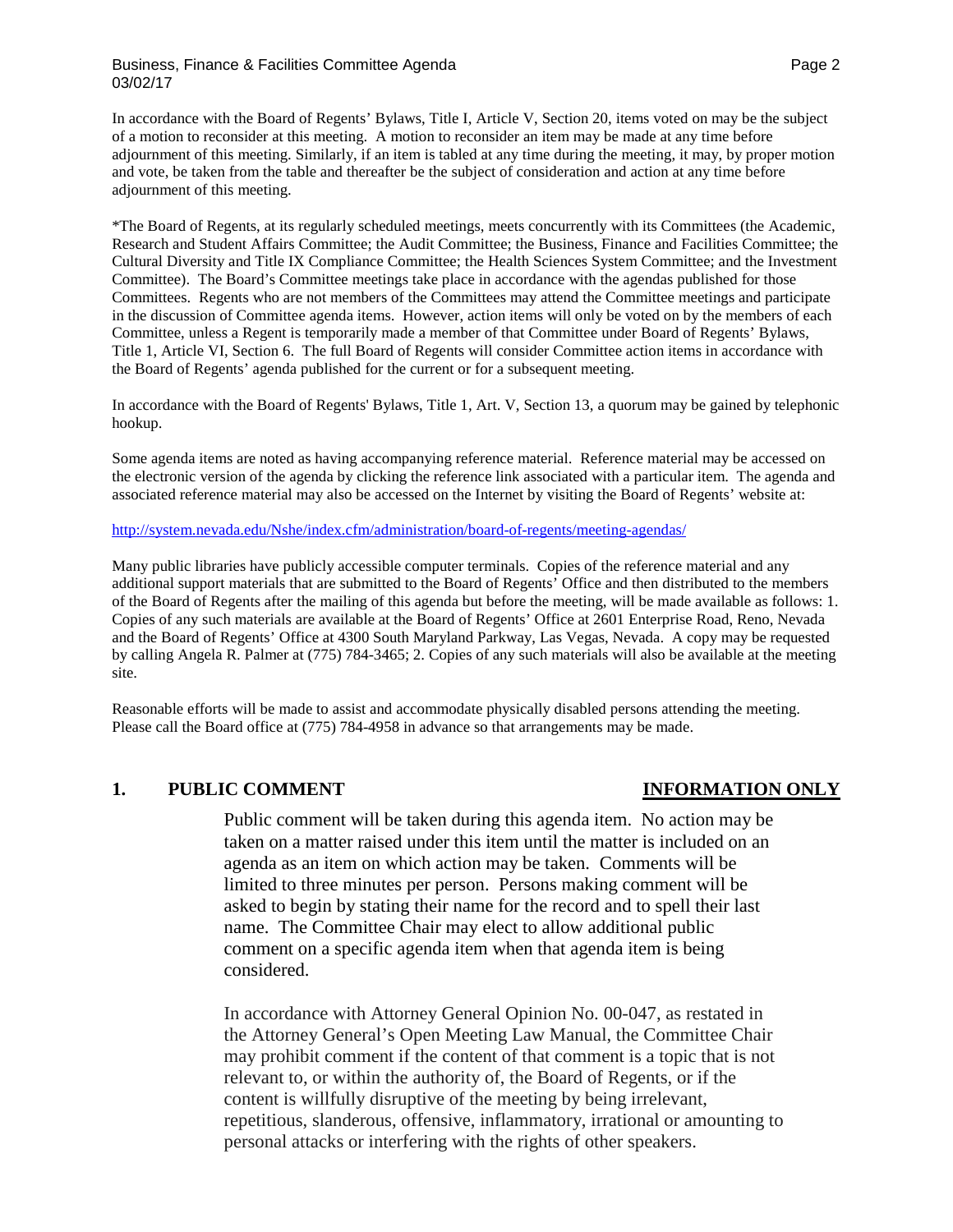### Business, Finance & Facilities Committee Agenda **Page 2** Assessment Rage 2 03/02/17

In accordance with the Board of Regents' Bylaws, Title I, Article V, Section 20, items voted on may be the subject of a motion to reconsider at this meeting. A motion to reconsider an item may be made at any time before adjournment of this meeting. Similarly, if an item is tabled at any time during the meeting, it may, by proper motion and vote, be taken from the table and thereafter be the subject of consideration and action at any time before adjournment of this meeting.

\*The Board of Regents, at its regularly scheduled meetings, meets concurrently with its Committees (the Academic, Research and Student Affairs Committee; the Audit Committee; the Business, Finance and Facilities Committee; the Cultural Diversity and Title IX Compliance Committee; the Health Sciences System Committee; and the Investment Committee). The Board's Committee meetings take place in accordance with the agendas published for those Committees. Regents who are not members of the Committees may attend the Committee meetings and participate in the discussion of Committee agenda items. However, action items will only be voted on by the members of each Committee, unless a Regent is temporarily made a member of that Committee under Board of Regents' Bylaws, Title 1, Article VI, Section 6. The full Board of Regents will consider Committee action items in accordance with the Board of Regents' agenda published for the current or for a subsequent meeting.

In accordance with the Board of Regents' Bylaws, Title 1, Art. V, Section 13, a quorum may be gained by telephonic hookup.

Some agenda items are noted as having accompanying reference material. Reference material may be accessed on the electronic version of the agenda by clicking the reference link associated with a particular item. The agenda and associated reference material may also be accessed on the Internet by visiting the Board of Regents' website at:

<http://system.nevada.edu/Nshe/index.cfm/administration/board-of-regents/meeting-agendas/>

Many public libraries have publicly accessible computer terminals. Copies of the reference material and any additional support materials that are submitted to the Board of Regents' Office and then distributed to the members of the Board of Regents after the mailing of this agenda but before the meeting, will be made available as follows: 1. Copies of any such materials are available at the Board of Regents' Office at 2601 Enterprise Road, Reno, Nevada and the Board of Regents' Office at 4300 South Maryland Parkway, Las Vegas, Nevada. A copy may be requested by calling Angela R. Palmer at (775) 784-3465; 2. Copies of any such materials will also be available at the meeting site.

Reasonable efforts will be made to assist and accommodate physically disabled persons attending the meeting. Please call the Board office at (775) 784-4958 in advance so that arrangements may be made.

### **1. PUBLIC COMMENT INFORMATION ONLY**

Public comment will be taken during this agenda item. No action may be taken on a matter raised under this item until the matter is included on an agenda as an item on which action may be taken. Comments will be limited to three minutes per person. Persons making comment will be asked to begin by stating their name for the record and to spell their last name. The Committee Chair may elect to allow additional public comment on a specific agenda item when that agenda item is being considered.

In accordance with Attorney General Opinion No. 00-047, as restated in the Attorney General's Open Meeting Law Manual, the Committee Chair may prohibit comment if the content of that comment is a topic that is not relevant to, or within the authority of, the Board of Regents, or if the content is willfully disruptive of the meeting by being irrelevant, repetitious, slanderous, offensive, inflammatory, irrational or amounting to personal attacks or interfering with the rights of other speakers.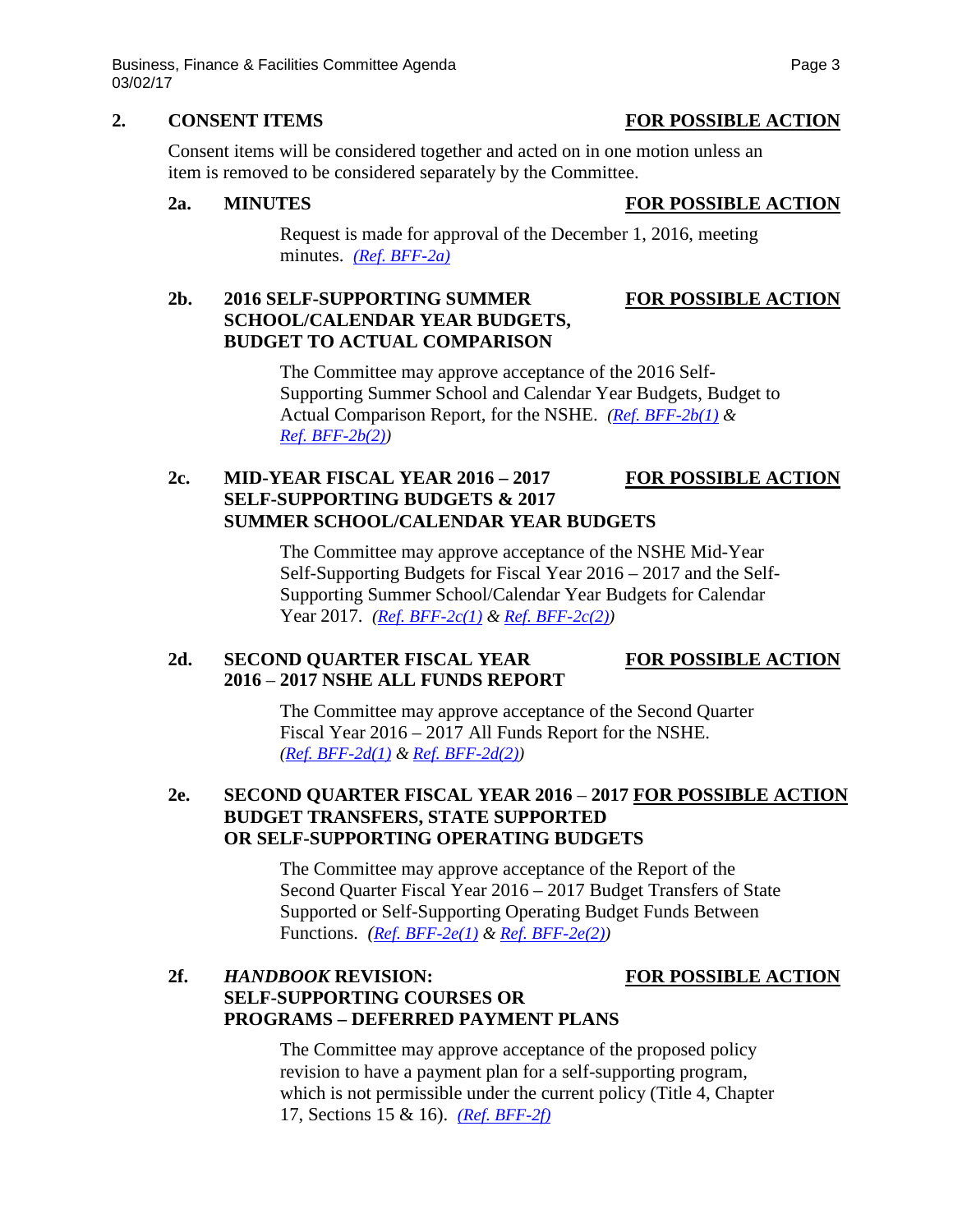Business, Finance & Facilities Committee Agenda **Page 3** Page 3 03/02/17

Consent items will be considered together and acted on in one motion unless an item is removed to be considered separately by the Committee.

**2a. MINUTES FOR POSSIBLE ACTION**

Request is made for approval of the December 1, 2016, meeting minutes. *[\(Ref. BFF-2a\)](http://system.nevada.edu/tasks/sites/Nshe/assets/File/BoardOfRegents/Agendas/2017/mar-mtgs/bff-refs/BFF-2a.pdf)*

# **2b. 2016 SELF-SUPPORTING SUMMER FOR POSSIBLE ACTION SCHOOL/CALENDAR YEAR BUDGETS, BUDGET TO ACTUAL COMPARISON**

The Committee may approve acceptance of the 2016 Self-Supporting Summer School and Calendar Year Budgets, Budget to Actual Comparison Report, for the NSHE. *[\(Ref. BFF-2b\(1\)](http://system.nevada.edu/tasks/sites/Nshe/assets/File/BoardOfRegents/Agendas/2017/mar-mtgs/bff-refs/BFF-2b(1)%20.pdf) & [Ref. BFF-2b\(2\)\)](http://system.nevada.edu/tasks/sites/Nshe/assets/File/BoardOfRegents/Agendas/2017/mar-mtgs/bff-refs/BFF-2b(2)%20.pdf)*

# **2c. MID-YEAR FISCAL YEAR 2016 – 2017 FOR POSSIBLE ACTION SELF-SUPPORTING BUDGETS & 2017 SUMMER SCHOOL/CALENDAR YEAR BUDGETS**

The Committee may approve acceptance of the NSHE Mid-Year Self-Supporting Budgets for Fiscal Year 2016 – 2017 and the Self-Supporting Summer School/Calendar Year Budgets for Calendar Year 2017. *[\(Ref. BFF-2c\(1\)](http://system.nevada.edu/tasks/sites/Nshe/assets/File/BoardOfRegents/Agendas/2017/mar-mtgs/bff-refs/BFF-2c(1).pdf) & [Ref. BFF-2c\(2\)\)](http://system.nevada.edu/tasks/sites/Nshe/assets/File/BoardOfRegents/Agendas/2017/mar-mtgs/bff-refs/BFF-2c(2).pdf)*

# 2d. **SECOND QUARTER FISCAL YEAR FOR POSSIBLE ACTION 2016** – **2017 NSHE ALL FUNDS REPORT**

The Committee may approve acceptance of the Second Quarter Fiscal Year 2016 – 2017 All Funds Report for the NSHE. *[\(Ref. BFF-2d\(1\)](http://system.nevada.edu/tasks/sites/Nshe/assets/File/BoardOfRegents/Agendas/2017/mar-mtgs/bff-refs/BFF-2d(1).pdf) & [Ref. BFF-2d\(2\)\)](http://system.nevada.edu/tasks/sites/Nshe/assets/File/BoardOfRegents/Agendas/2017/mar-mtgs/bff-refs/BFF-2d(2).pdf)*

# **2e. SECOND QUARTER FISCAL YEAR 2016** – **2017 FOR POSSIBLE ACTION BUDGET TRANSFERS, STATE SUPPORTED OR SELF-SUPPORTING OPERATING BUDGETS**

The Committee may approve acceptance of the Report of the Second Quarter Fiscal Year 2016 – 2017 Budget Transfers of State Supported or Self-Supporting Operating Budget Funds Between Functions. *[\(Ref. BFF-2e\(1\)](http://system.nevada.edu/tasks/sites/Nshe/assets/File/BoardOfRegents/Agendas/2017/mar-mtgs/bff-refs/BFF-2e(1).pdf) & [Ref. BFF-2e\(2\)\)](http://system.nevada.edu/tasks/sites/Nshe/assets/File/BoardOfRegents/Agendas/2017/mar-mtgs/bff-refs/BFF-2e(2).pdf)*

# **2f.** *HANDBOOK* **REVISION: FOR POSSIBLE ACTION SELF-SUPPORTING COURSES OR PROGRAMS – DEFERRED PAYMENT PLANS**

The Committee may approve acceptance of the proposed policy revision to have a payment plan for a self-supporting program, which is not permissible under the current policy (Title 4, Chapter 17, Sections 15 & 16). *[\(Ref. BFF-2f\)](http://system.nevada.edu/tasks/sites/Nshe/assets/File/BoardOfRegents/Agendas/2017/mar-mtgs/bff-refs/BFF-2f.pdf)*

### **2. CONSENT ITEMS FOR POSSIBLE ACTION**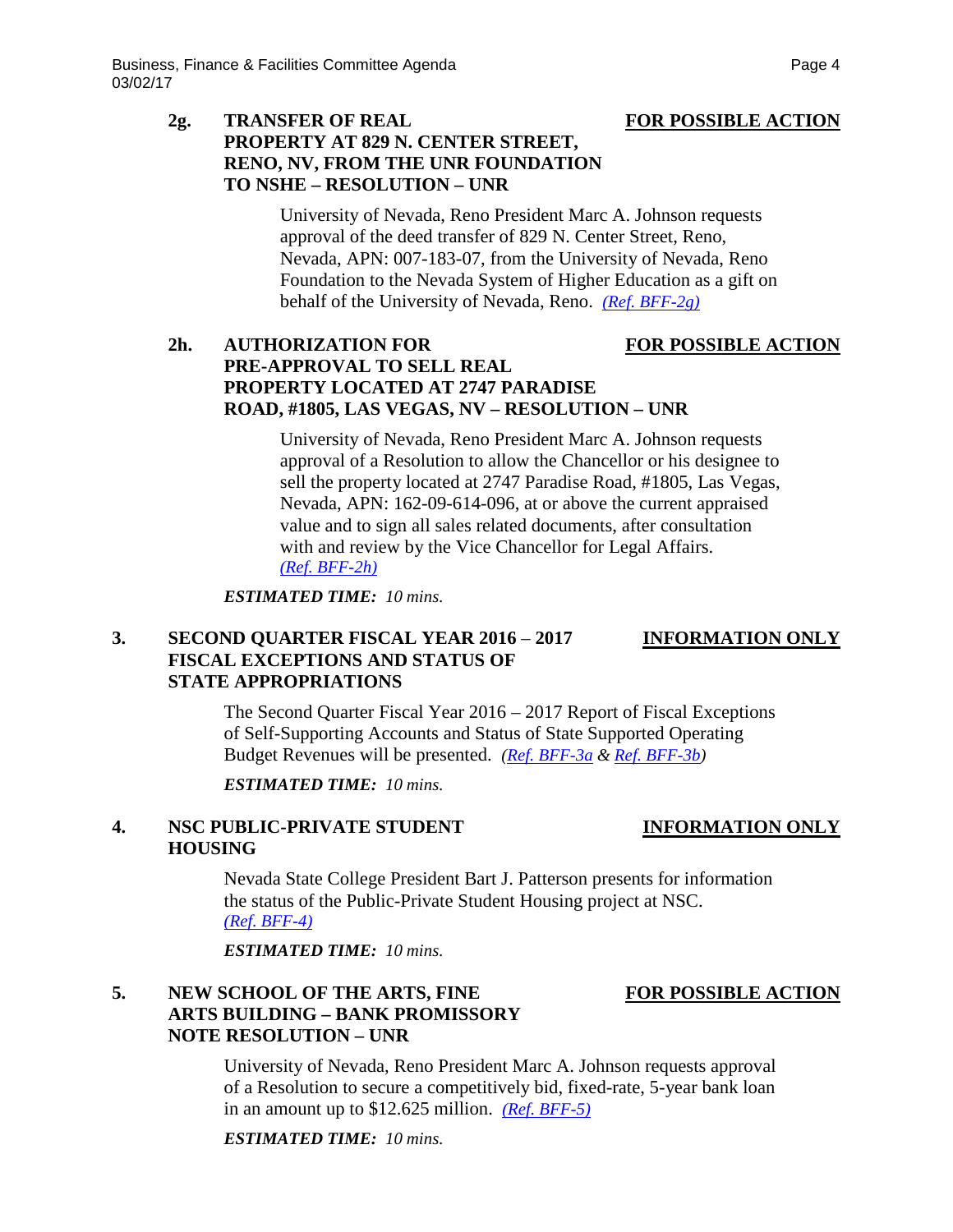# **2g. TRANSFER OF REAL FOR POSSIBLE ACTION PROPERTY AT 829 N. CENTER STREET, RENO, NV, FROM THE UNR FOUNDATION TO NSHE – RESOLUTION – UNR**

University of Nevada, Reno President Marc A. Johnson requests approval of the deed transfer of 829 N. Center Street, Reno, Nevada, APN: 007-183-07, from the University of Nevada, Reno Foundation to the Nevada System of Higher Education as a gift on behalf of the University of Nevada, Reno. *[\(Ref. BFF-2g\)](http://system.nevada.edu/tasks/sites/Nshe/assets/File/BoardOfRegents/Agendas/2017/mar-mtgs/bff-refs/BFF-2g.pdf)*

# **2h. AUTHORIZATION FOR FOR POSSIBLE ACTION PRE-APPROVAL TO SELL REAL PROPERTY LOCATED AT 2747 PARADISE ROAD, #1805, LAS VEGAS, NV – RESOLUTION – UNR**

University of Nevada, Reno President Marc A. Johnson requests approval of a Resolution to allow the Chancellor or his designee to sell the property located at 2747 Paradise Road, #1805, Las Vegas, Nevada, APN: 162-09-614-096, at or above the current appraised value and to sign all sales related documents, after consultation with and review by the Vice Chancellor for Legal Affairs. *[\(Ref. BFF-2h\)](http://system.nevada.edu/tasks/sites/Nshe/assets/File/BoardOfRegents/Agendas/2017/mar-mtgs/bff-refs/BFF-2h.pdf)*

*ESTIMATED TIME: 10 mins.*

# **3. SECOND QUARTER FISCAL YEAR 2016** – **2017 INFORMATION ONLY FISCAL EXCEPTIONS AND STATUS OF STATE APPROPRIATIONS**

The Second Quarter Fiscal Year 2016 – 2017 Report of Fiscal Exceptions of Self-Supporting Accounts and Status of State Supported Operating Budget Revenues will be presented. *[\(Ref. BFF-3a](http://system.nevada.edu/tasks/sites/Nshe/assets/File/BoardOfRegents/Agendas/2017/mar-mtgs/bff-refs/BFF-3a.pdf) & [Ref. BFF-3b\)](http://system.nevada.edu/tasks/sites/Nshe/assets/File/BoardOfRegents/Agendas/2017/mar-mtgs/bff-refs/BFF-3b.pdf)*

*ESTIMATED TIME: 10 mins.*

## **4. NSC PUBLIC-PRIVATE STUDENT INFORMATION ONLY HOUSING**

Nevada State College President Bart J. Patterson presents for information the status of the Public-Private Student Housing project at NSC. *[\(Ref. BFF-4\)](http://system.nevada.edu/tasks/sites/Nshe/assets/File/BoardOfRegents/Agendas/2017/mar-mtgs/bff-refs/BFF-4.pdf)*

*ESTIMATED TIME: 10 mins.*

# **5. NEW SCHOOL OF THE ARTS, FINE FOR POSSIBLE ACTION ARTS BUILDING – BANK PROMISSORY NOTE RESOLUTION – UNR**

University of Nevada, Reno President Marc A. Johnson requests approval of a Resolution to secure a competitively bid, fixed-rate, 5-year bank loan in an amount up to \$12.625 million. *[\(Ref. BFF-5\)](http://system.nevada.edu/tasks/sites/Nshe/assets/File/BoardOfRegents/Agendas/2017/mar-mtgs/bff-refs/BFF-5.pdf)*

*ESTIMATED TIME: 10 mins.*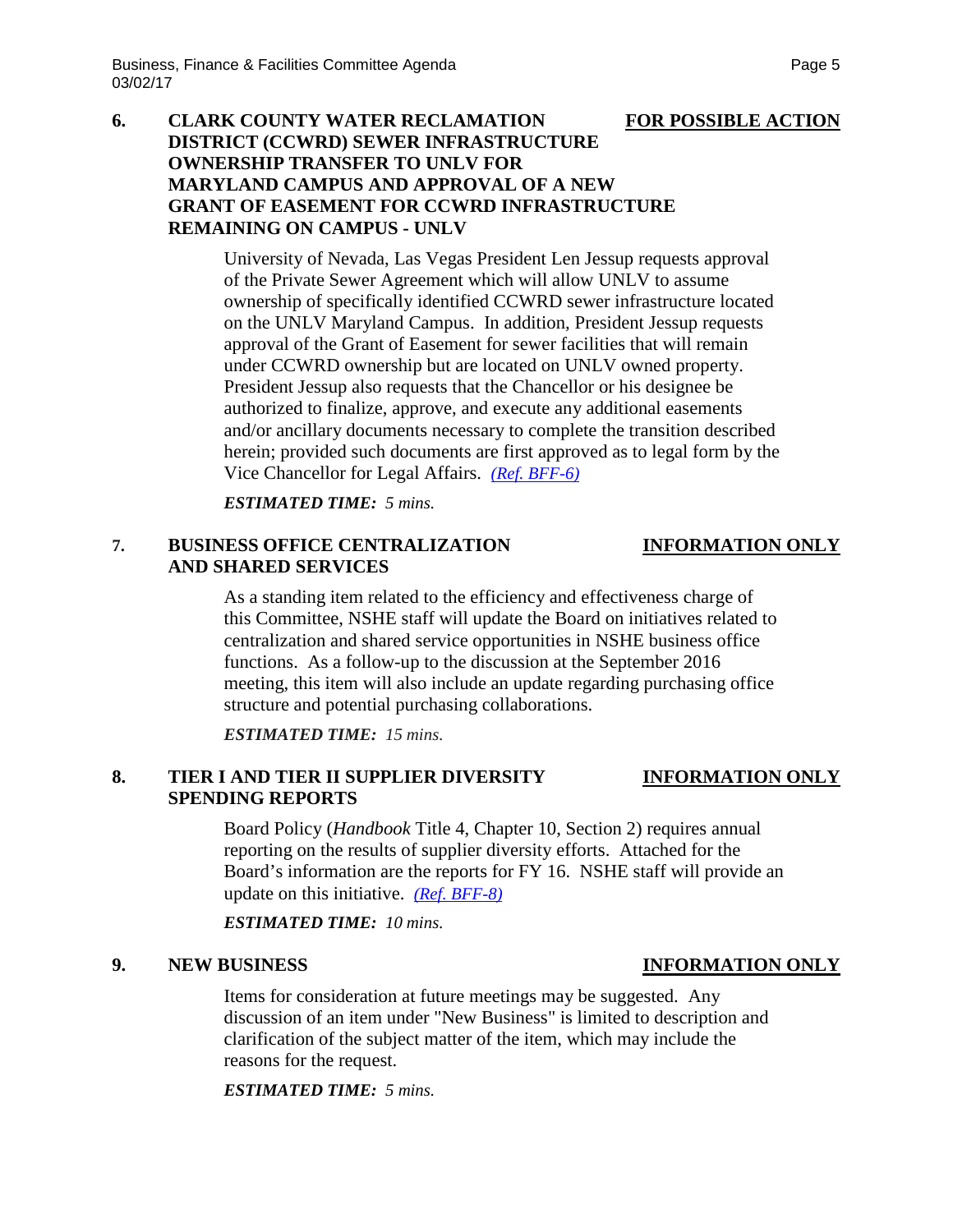# **6. CLARK COUNTY WATER RECLAMATION FOR POSSIBLE ACTION DISTRICT (CCWRD) SEWER INFRASTRUCTURE OWNERSHIP TRANSFER TO UNLV FOR MARYLAND CAMPUS AND APPROVAL OF A NEW GRANT OF EASEMENT FOR CCWRD INFRASTRUCTURE REMAINING ON CAMPUS - UNLV**

University of Nevada, Las Vegas President Len Jessup requests approval of the Private Sewer Agreement which will allow UNLV to assume ownership of specifically identified CCWRD sewer infrastructure located on the UNLV Maryland Campus. In addition, President Jessup requests approval of the Grant of Easement for sewer facilities that will remain under CCWRD ownership but are located on UNLV owned property. President Jessup also requests that the Chancellor or his designee be authorized to finalize, approve, and execute any additional easements and/or ancillary documents necessary to complete the transition described herein; provided such documents are first approved as to legal form by the Vice Chancellor for Legal Affairs. *(Ref. [BFF-6\)](http://system.nevada.edu/tasks/sites/Nshe/assets/File/BoardOfRegents/Agendas/2017/mar-mtgs/bff-refs/BFF-6.pdf)*

*ESTIMATED TIME: 5 mins.*

# **7. BUSINESS OFFICE CENTRALIZATION INFORMATION ONLY AND SHARED SERVICES**

As a standing item related to the efficiency and effectiveness charge of this Committee, NSHE staff will update the Board on initiatives related to centralization and shared service opportunities in NSHE business office functions. As a follow-up to the discussion at the September 2016 meeting, this item will also include an update regarding purchasing office structure and potential purchasing collaborations.

*ESTIMATED TIME: 15 mins.*

# **8. TIER I AND TIER II SUPPLIER DIVERSITY INFORMATION ONLY SPENDING REPORTS**

Board Policy (*Handbook* Title 4, Chapter 10, Section 2) requires annual reporting on the results of supplier diversity efforts. Attached for the Board's information are the reports for FY 16. NSHE staff will provide an update on this initiative. *[\(Ref. BFF-8\)](http://system.nevada.edu/tasks/sites/Nshe/assets/File/BoardOfRegents/Agendas/2017/mar-mtgs/bff-refs/BFF-8.pdf)*

*ESTIMATED TIME: 10 mins.*

Items for consideration at future meetings may be suggested. Any discussion of an item under "New Business" is limited to description and clarification of the subject matter of the item, which may include the reasons for the request.

*ESTIMATED TIME: 5 mins.*

## **9. NEW BUSINESS INFORMATION ONLY**